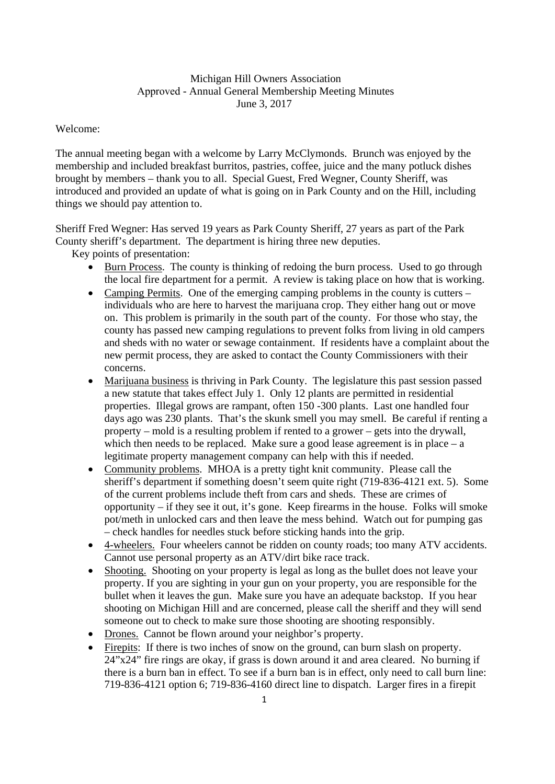## Michigan Hill Owners Association Approved - Annual General Membership Meeting Minutes June 3, 2017

## Welcome:

The annual meeting began with a welcome by Larry McClymonds. Brunch was enjoyed by the membership and included breakfast burritos, pastries, coffee, juice and the many potluck dishes brought by members – thank you to all. Special Guest, Fred Wegner, County Sheriff, was introduced and provided an update of what is going on in Park County and on the Hill, including things we should pay attention to.

Sheriff Fred Wegner: Has served 19 years as Park County Sheriff, 27 years as part of the Park County sheriff's department. The department is hiring three new deputies.

Key points of presentation:

- Burn Process. The county is thinking of redoing the burn process. Used to go through the local fire department for a permit. A review is taking place on how that is working.
- Camping Permits. One of the emerging camping problems in the county is cutters individuals who are here to harvest the marijuana crop. They either hang out or move on. This problem is primarily in the south part of the county. For those who stay, the county has passed new camping regulations to prevent folks from living in old campers and sheds with no water or sewage containment. If residents have a complaint about the new permit process, they are asked to contact the County Commissioners with their concerns.
- Marijuana business is thriving in Park County. The legislature this past session passed a new statute that takes effect July 1. Only 12 plants are permitted in residential properties. Illegal grows are rampant, often 150 -300 plants. Last one handled four days ago was 230 plants. That's the skunk smell you may smell. Be careful if renting a property – mold is a resulting problem if rented to a grower – gets into the drywall, which then needs to be replaced. Make sure a good lease agreement is in place  $-$  a legitimate property management company can help with this if needed.
- Community problems. MHOA is a pretty tight knit community. Please call the sheriff's department if something doesn't seem quite right (719-836-4121 ext. 5). Some of the current problems include theft from cars and sheds. These are crimes of opportunity – if they see it out, it's gone. Keep firearms in the house. Folks will smoke pot/meth in unlocked cars and then leave the mess behind. Watch out for pumping gas – check handles for needles stuck before sticking hands into the grip.
- 4-wheelers. Four wheelers cannot be ridden on county roads; too many ATV accidents. Cannot use personal property as an ATV/dirt bike race track.
- Shooting. Shooting on your property is legal as long as the bullet does not leave your property. If you are sighting in your gun on your property, you are responsible for the bullet when it leaves the gun. Make sure you have an adequate backstop. If you hear shooting on Michigan Hill and are concerned, please call the sheriff and they will send someone out to check to make sure those shooting are shooting responsibly.
- Drones. Cannot be flown around your neighbor's property.
- Firepits: If there is two inches of snow on the ground, can burn slash on property. 24"x24" fire rings are okay, if grass is down around it and area cleared. No burning if there is a burn ban in effect. To see if a burn ban is in effect, only need to call burn line: 719-836-4121 option 6; 719-836-4160 direct line to dispatch. Larger fires in a firepit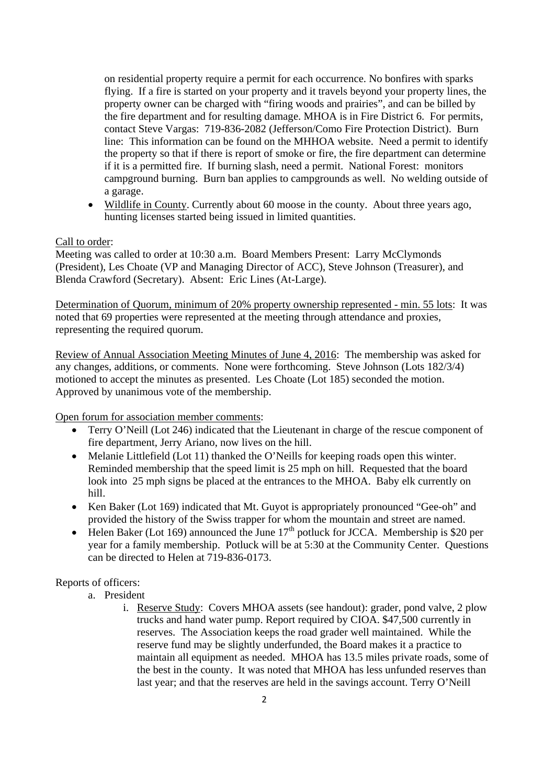on residential property require a permit for each occurrence. No bonfires with sparks flying. If a fire is started on your property and it travels beyond your property lines, the property owner can be charged with "firing woods and prairies", and can be billed by the fire department and for resulting damage. MHOA is in Fire District 6. For permits, contact Steve Vargas: 719-836-2082 (Jefferson/Como Fire Protection District). Burn line: This information can be found on the MHHOA website. Need a permit to identify the property so that if there is report of smoke or fire, the fire department can determine if it is a permitted fire. If burning slash, need a permit. National Forest: monitors campground burning. Burn ban applies to campgrounds as well. No welding outside of a garage.

• Wildlife in County. Currently about 60 moose in the county. About three years ago, hunting licenses started being issued in limited quantities.

## Call to order:

Meeting was called to order at 10:30 a.m. Board Members Present: Larry McClymonds (President), Les Choate (VP and Managing Director of ACC), Steve Johnson (Treasurer), and Blenda Crawford (Secretary). Absent: Eric Lines (At-Large).

Determination of Quorum, minimum of 20% property ownership represented - min. 55 lots: It was noted that 69 properties were represented at the meeting through attendance and proxies, representing the required quorum.

Review of Annual Association Meeting Minutes of June 4, 2016: The membership was asked for any changes, additions, or comments. None were forthcoming. Steve Johnson (Lots 182/3/4) motioned to accept the minutes as presented. Les Choate (Lot 185) seconded the motion. Approved by unanimous vote of the membership.

Open forum for association member comments:

- Terry O'Neill (Lot 246) indicated that the Lieutenant in charge of the rescue component of fire department, Jerry Ariano, now lives on the hill.
- Melanie Littlefield (Lot 11) thanked the O'Neills for keeping roads open this winter. Reminded membership that the speed limit is 25 mph on hill. Requested that the board look into 25 mph signs be placed at the entrances to the MHOA. Baby elk currently on hill.
- Ken Baker (Lot 169) indicated that Mt. Guyot is appropriately pronounced "Gee-oh" and provided the history of the Swiss trapper for whom the mountain and street are named.
- Helen Baker (Lot 169) announced the June  $17<sup>th</sup>$  potluck for JCCA. Membership is \$20 per year for a family membership. Potluck will be at 5:30 at the Community Center. Questions can be directed to Helen at 719-836-0173.

# Reports of officers:

- a. President
	- i. Reserve Study: Covers MHOA assets (see handout): grader, pond valve, 2 plow trucks and hand water pump. Report required by CIOA. \$47,500 currently in reserves. The Association keeps the road grader well maintained. While the reserve fund may be slightly underfunded, the Board makes it a practice to maintain all equipment as needed. MHOA has 13.5 miles private roads, some of the best in the county. It was noted that MHOA has less unfunded reserves than last year; and that the reserves are held in the savings account. Terry O'Neill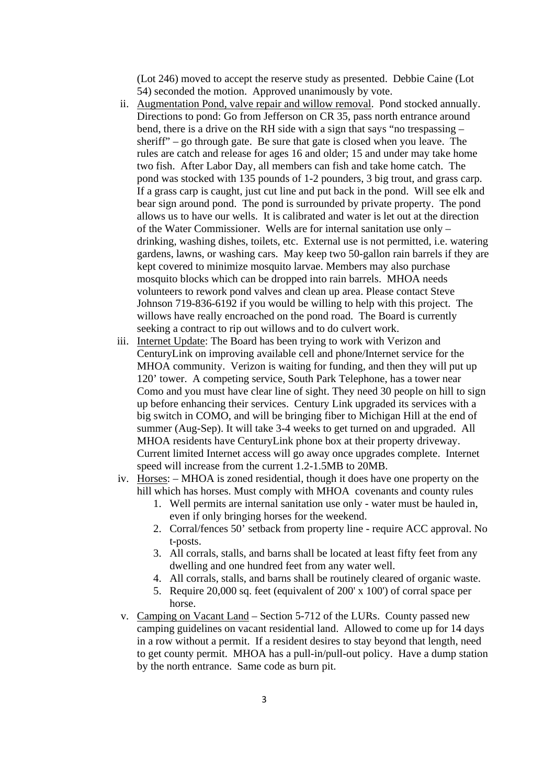(Lot 246) moved to accept the reserve study as presented. Debbie Caine (Lot 54) seconded the motion. Approved unanimously by vote.

- ii. Augmentation Pond, valve repair and willow removal. Pond stocked annually. Directions to pond: Go from Jefferson on CR 35, pass north entrance around bend, there is a drive on the RH side with a sign that says "no trespassing – sheriff" – go through gate. Be sure that gate is closed when you leave. The rules are catch and release for ages 16 and older; 15 and under may take home two fish. After Labor Day, all members can fish and take home catch. The pond was stocked with 135 pounds of 1-2 pounders, 3 big trout, and grass carp. If a grass carp is caught, just cut line and put back in the pond. Will see elk and bear sign around pond. The pond is surrounded by private property. The pond allows us to have our wells. It is calibrated and water is let out at the direction of the Water Commissioner. Wells are for internal sanitation use only – drinking, washing dishes, toilets, etc. External use is not permitted, i.e. watering gardens, lawns, or washing cars. May keep two 50-gallon rain barrels if they are kept covered to minimize mosquito larvae. Members may also purchase mosquito blocks which can be dropped into rain barrels. MHOA needs volunteers to rework pond valves and clean up area. Please contact Steve Johnson 719-836-6192 if you would be willing to help with this project. The willows have really encroached on the pond road. The Board is currently seeking a contract to rip out willows and to do culvert work.
- iii. Internet Update: The Board has been trying to work with Verizon and CenturyLink on improving available cell and phone/Internet service for the MHOA community. Verizon is waiting for funding, and then they will put up 120' tower. A competing service, South Park Telephone, has a tower near Como and you must have clear line of sight. They need 30 people on hill to sign up before enhancing their services. Century Link upgraded its services with a big switch in COMO, and will be bringing fiber to Michigan Hill at the end of summer (Aug-Sep). It will take 3-4 weeks to get turned on and upgraded. All MHOA residents have CenturyLink phone box at their property driveway. Current limited Internet access will go away once upgrades complete. Internet speed will increase from the current 1.2-1.5MB to 20MB.
- iv. Horses: MHOA is zoned residential, though it does have one property on the hill which has horses. Must comply with MHOA covenants and county rules
	- 1. Well permits are internal sanitation use only water must be hauled in, even if only bringing horses for the weekend.
	- 2. Corral/fences 50' setback from property line require ACC approval. No t-posts.
	- 3. All corrals, stalls, and barns shall be located at least fifty feet from any dwelling and one hundred feet from any water well.
	- 4. All corrals, stalls, and barns shall be routinely cleared of organic waste.
	- 5. Require 20,000 sq. feet (equivalent of 200' x 100') of corral space per horse.
- v. Camping on Vacant Land Section 5-712 of the LURs. County passed new camping guidelines on vacant residential land. Allowed to come up for 14 days in a row without a permit. If a resident desires to stay beyond that length, need to get county permit. MHOA has a pull-in/pull-out policy. Have a dump station by the north entrance. Same code as burn pit.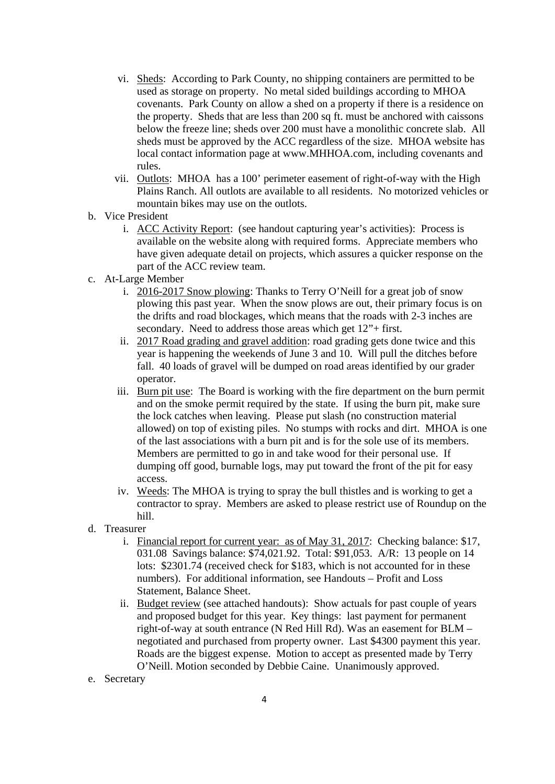- vi. Sheds: According to Park County, no shipping containers are permitted to be used as storage on property. No metal sided buildings according to MHOA covenants. Park County on allow a shed on a property if there is a residence on the property. Sheds that are less than 200 sq ft. must be anchored with caissons below the freeze line; sheds over 200 must have a monolithic concrete slab. All sheds must be approved by the ACC regardless of the size. MHOA website has local contact information page at www.MHHOA.com, including covenants and rules.
- vii. Outlots: MHOA has a 100' perimeter easement of right-of-way with the High Plains Ranch. All outlots are available to all residents. No motorized vehicles or mountain bikes may use on the outlots.
- b. Vice President
	- i. ACC Activity Report: (see handout capturing year's activities): Process is available on the website along with required forms. Appreciate members who have given adequate detail on projects, which assures a quicker response on the part of the ACC review team.
- c. At-Large Member
	- i. 2016-2017 Snow plowing: Thanks to Terry O'Neill for a great job of snow plowing this past year. When the snow plows are out, their primary focus is on the drifts and road blockages, which means that the roads with 2-3 inches are secondary. Need to address those areas which get 12"+ first.
	- ii. 2017 Road grading and gravel addition: road grading gets done twice and this year is happening the weekends of June 3 and 10. Will pull the ditches before fall. 40 loads of gravel will be dumped on road areas identified by our grader operator.
	- iii. Burn pit use: The Board is working with the fire department on the burn permit and on the smoke permit required by the state. If using the burn pit, make sure the lock catches when leaving. Please put slash (no construction material allowed) on top of existing piles. No stumps with rocks and dirt. MHOA is one of the last associations with a burn pit and is for the sole use of its members. Members are permitted to go in and take wood for their personal use. If dumping off good, burnable logs, may put toward the front of the pit for easy access.
	- iv. Weeds: The MHOA is trying to spray the bull thistles and is working to get a contractor to spray. Members are asked to please restrict use of Roundup on the hill.
- d. Treasurer
	- i. Financial report for current year: as of May 31, 2017: Checking balance: \$17, 031.08 Savings balance: \$74,021.92. Total: \$91,053. A/R: 13 people on 14 lots: \$2301.74 (received check for \$183, which is not accounted for in these numbers). For additional information, see Handouts – Profit and Loss Statement, Balance Sheet.
	- ii. Budget review (see attached handouts): Show actuals for past couple of years and proposed budget for this year. Key things: last payment for permanent right-of-way at south entrance (N Red Hill Rd). Was an easement for BLM – negotiated and purchased from property owner. Last \$4300 payment this year. Roads are the biggest expense. Motion to accept as presented made by Terry O'Neill. Motion seconded by Debbie Caine. Unanimously approved.
- e. Secretary